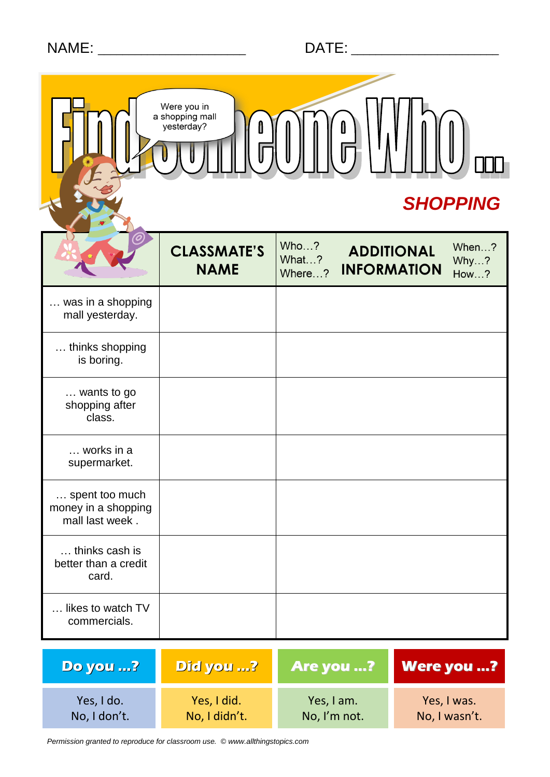|                                                          | Were you in<br>a shopping mall<br>yesterday?<br><b>SHOPPING</b> |                         |                                         |                       |  |
|----------------------------------------------------------|-----------------------------------------------------------------|-------------------------|-----------------------------------------|-----------------------|--|
|                                                          | <b>CLASSMATE'S</b><br><b>NAME</b>                               | Who?<br>What?<br>Where? | <b>ADDITIONAL</b><br><b>INFORMATION</b> | When?<br>Why?<br>How? |  |
| was in a shopping<br>mall yesterday.                     |                                                                 |                         |                                         |                       |  |
| thinks shopping<br>is boring.                            |                                                                 |                         |                                         |                       |  |
| wants to go<br>shopping after<br>class.                  |                                                                 |                         |                                         |                       |  |
| works in a<br>supermarket.                               |                                                                 |                         |                                         |                       |  |
| spent too much<br>money in a shopping<br>mall last week. |                                                                 |                         |                                         |                       |  |
| thinks cash is<br>better than a credit<br>card.          |                                                                 |                         |                                         |                       |  |
| likes to watch TV<br>commercials.                        |                                                                 |                         |                                         |                       |  |

| <b>Do you ?</b> | Did you ?     | <b>Are you ?</b> | <b>Were you ?</b> |
|-----------------|---------------|------------------|-------------------|
| Yes, I do.      | Yes, I did.   | Yes, I am.       | Yes, I was.       |
| No, I don't.    | No, I didn't. | No, I'm not.     | No, I wasn't.     |

*Permission granted to reproduce for classroom use. © www.allthingstopics.com*